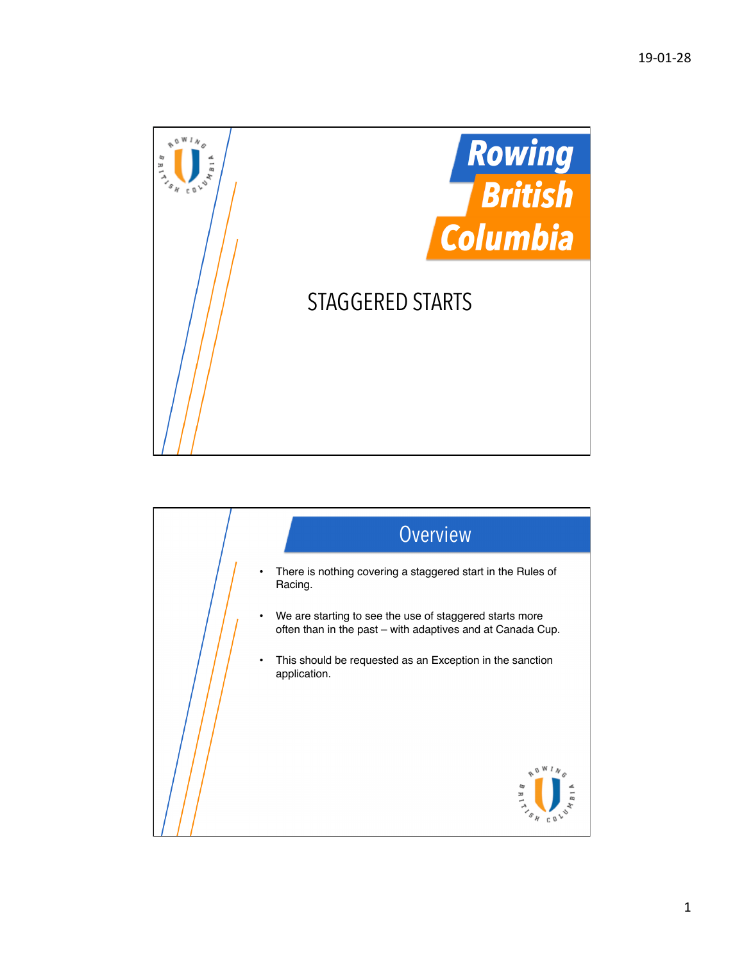

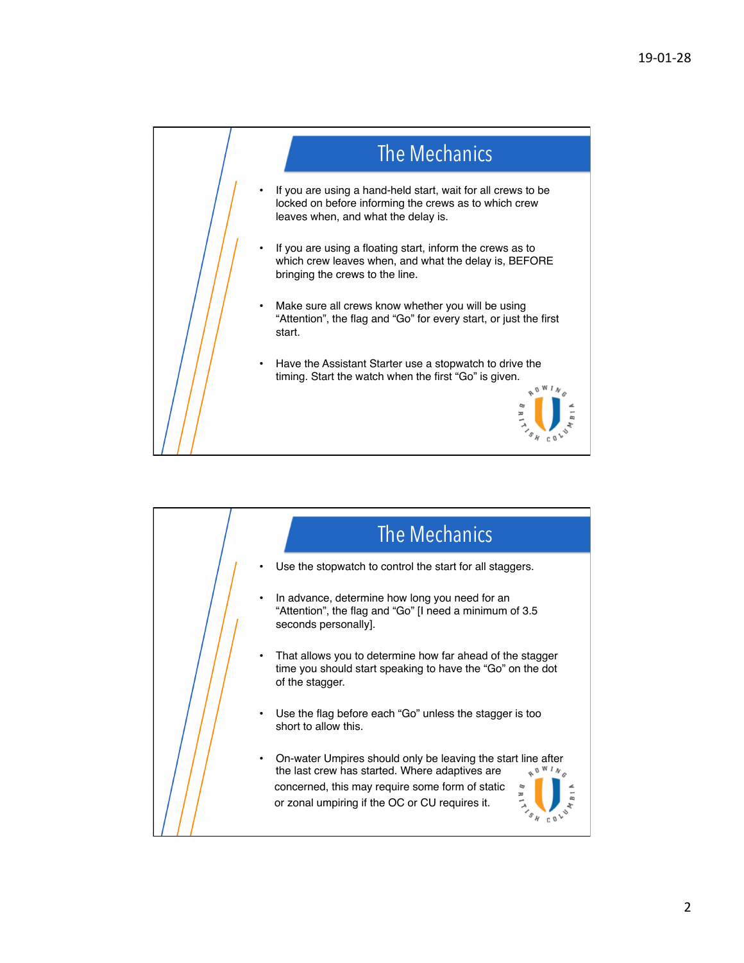